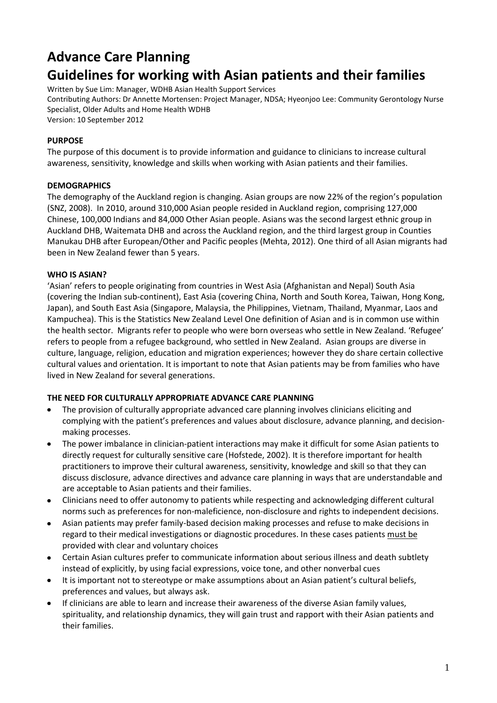# **Advance Care Planning**

## **Guidelines for working with Asian patients and their families**

Written by Sue Lim: Manager, WDHB Asian Health Support Services Contributing Authors: Dr Annette Mortensen: Project Manager, NDSA; Hyeonjoo Lee: Community Gerontology Nurse

Specialist, Older Adults and Home Health WDHB Version: 10 September 2012

## **PURPOSE**

The purpose of this document is to provide information and guidance to clinicians to increase cultural awareness, sensitivity, knowledge and skills when working with Asian patients and their families.

## **DEMOGRAPHICS**

The demography of the Auckland region is changing. Asian groups are now 22% of the region's population (SNZ, 2008). In 2010, around 310,000 Asian people resided in Auckland region, comprising 127,000 Chinese, 100,000 Indians and 84,000 Other Asian people. Asians was the second largest ethnic group in Auckland DHB, Waitemata DHB and across the Auckland region, and the third largest group in Counties Manukau DHB after European/Other and Pacific peoples (Mehta, 2012). One third of all Asian migrants had been in New Zealand fewer than 5 years.

## **WHO IS ASIAN?**

'Asian' refers to people originating from countries in West Asia (Afghanistan and Nepal) South Asia (covering the Indian sub-continent), East Asia (covering China, North and South Korea, Taiwan, Hong Kong, Japan), and South East Asia (Singapore, Malaysia, the Philippines, Vietnam, Thailand, Myanmar, Laos and Kampuchea). This is the Statistics New Zealand Level One definition of Asian and is in common use within the health sector. Migrants refer to people who were born overseas who settle in New Zealand. 'Refugee' refers to people from a refugee background, who settled in New Zealand. Asian groups are diverse in culture, language, religion, education and migration experiences; however they do share certain collective cultural values and orientation. It is important to note that Asian patients may be from families who have lived in New Zealand for several generations.

## **THE NEED FOR CULTURALLY APPROPRIATE ADVANCE CARE PLANNING**

- The provision of culturally appropriate advanced care planning involves clinicians eliciting and complying with the patient's preferences and values about disclosure, advance planning, and decisionmaking processes.
- The power imbalance in clinician-patient interactions may make it difficult for some Asian patients to directly request for culturally sensitive care (Hofstede, 2002). It is therefore important for health practitioners to improve their cultural awareness, sensitivity, knowledge and skill so that they can discuss disclosure, advance directives and advance care planning in ways that are understandable and are acceptable to Asian patients and their families.
- Clinicians need to offer autonomy to patients while respecting and acknowledging different cultural norms such as preferences for non-maleficience, non-disclosure and rights to independent decisions.
- Asian patients may prefer family-based decision making processes and refuse to make decisions in regard to their medical investigations or diagnostic procedures. In these cases patients must be provided with clear and voluntary choices
- Certain Asian cultures prefer to communicate information about serious illness and death subtlety instead of explicitly, by using facial expressions, voice tone, and other nonverbal cues
- It is important not to stereotype or make assumptions about an Asian patient's cultural beliefs, preferences and values, but always ask.
- If clinicians are able to learn and increase their awareness of the diverse Asian family values, spirituality, and relationship dynamics, they will gain trust and rapport with their Asian patients and their families.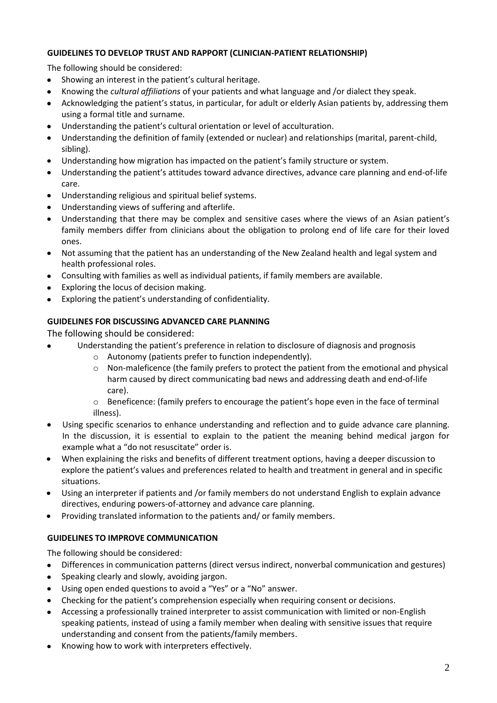### **GUIDELINES TO DEVELOP TRUST AND RAPPORT (CLINICIAN-PATIENT RELATIONSHIP)**

The following should be considered:

- Showing an interest in the patient's cultural heritage.
- Knowing the *cultural affiliations* of your patients and what language and /or dialect they speak.
- Acknowledging the patient's status, in particular, for adult or elderly Asian patients by, addressing them using a formal title and surname.
- Understanding the patient's cultural orientation or level of acculturation.
- Understanding the definition of family (extended or nuclear) and relationships (marital, parent-child, sibling).
- Understanding how migration has impacted on the patient's family structure or system.
- Understanding the patient's attitudes toward advance directives, advance care planning and end-of-life care.
- Understanding religious and spiritual belief systems.
- Understanding views of suffering and afterlife.
- Understanding that there may be complex and sensitive cases where the views of an Asian patient's family members differ from clinicians about the obligation to prolong end of life care for their loved ones.
- Not assuming that the patient has an understanding of the New Zealand health and legal system and health professional roles.
- Consulting with families as well as individual patients, if family members are available.
- Exploring the locus of decision making.
- Exploring the patient's understanding of confidentiality.

## **GUIDELINES FOR DISCUSSING ADVANCED CARE PLANNING**

The following should be considered:

- Understanding the patient's preference in relation to disclosure of diagnosis and prognosis
	- o Autonomy (patients prefer to function independently).
	- o Non-maleficence (the family prefers to protect the patient from the emotional and physical harm caused by direct communicating bad news and addressing death and end-of-life care).
	- o Beneficence: (family prefers to encourage the patient's hope even in the face of terminal illness).
- Using specific scenarios to enhance understanding and reflection and to guide advance care planning. In the discussion, it is essential to explain to the patient the meaning behind medical jargon for example what a "do not resuscitate" order is.
- When explaining the risks and benefits of different treatment options, having a deeper discussion to explore the patient's values and preferences related to health and treatment in general and in specific situations.
- Using an interpreter if patients and /or family members do not understand English to explain advance directives, enduring powers-of-attorney and advance care planning.
- Providing translated information to the patients and/ or family members.  $\bullet$

## **GUIDELINES TO IMPROVE COMMUNICATION**

The following should be considered:

- Differences in communication patterns (direct versus indirect, nonverbal communication and gestures)  $\bullet$
- Speaking clearly and slowly, avoiding jargon.
- Using open ended questions to avoid a "Yes" or a "No" answer.
- Checking for the patient's comprehension especially when requiring consent or decisions.
- Accessing a professionally trained interpreter to assist communication with limited or non-English speaking patients, instead of using a family member when dealing with sensitive issues that require understanding and consent from the patients/family members.
- Knowing how to work with interpreters effectively.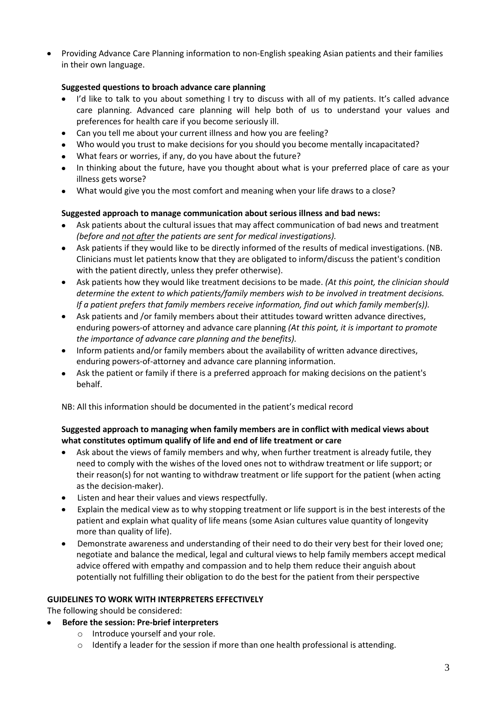Providing Advance Care Planning information to non-English speaking Asian patients and their families in their own language.

## **Suggested questions to broach advance care planning**

- I'd like to talk to you about something I try to discuss with all of my patients. It's called advance care planning. Advanced care planning will help both of us to understand your values and preferences for health care if you become seriously ill.
- Can you tell me about your current illness and how you are feeling?
- Who would you trust to make decisions for you should you become mentally incapacitated?
- What fears or worries, if any, do you have about the future?
- In thinking about the future, have you thought about what is your preferred place of care as your illness gets worse?
- What would give you the most comfort and meaning when your life draws to a close?

#### **Suggested approach to manage communication about serious illness and bad news:**

- Ask patients about the cultural issues that may affect communication of bad news and treatment *(before and not after the patients are sent for medical investigations).*
- Ask patients if they would like to be directly informed of the results of medical investigations. (NB. Clinicians must let patients know that they are obligated to inform/discuss the patient's condition with the patient directly, unless they prefer otherwise).
- Ask patients how they would like treatment decisions to be made. *(At this point, the clinician should determine the extent to which patients/family members wish to be involved in treatment decisions. If a patient prefers that family members receive information, find out which family member(s)).*
- Ask patients and /or family members about their attitudes toward written advance directives, enduring powers-of attorney and advance care planning *(At this point, it is important to promote the importance of advance care planning and the benefits).*
- Inform patients and/or family members about the availability of written advance directives, enduring powers-of-attorney and advance care planning information.
- Ask the patient or family if there is a preferred approach for making decisions on the patient's behalf.

NB: All this information should be documented in the patient's medical record

#### **Suggested approach to managing when family members are in conflict with medical views about what constitutes optimum qualify of life and end of life treatment or care**

- $\bullet$ Ask about the views of family members and why, when further treatment is already futile, they need to comply with the wishes of the loved ones not to withdraw treatment or life support; or their reason(s) for not wanting to withdraw treatment or life support for the patient (when acting as the decision-maker).
- Listen and hear their values and views respectfully.
- Explain the medical view as to why stopping treatment or life support is in the best interests of the  $\bullet$ patient and explain what quality of life means (some Asian cultures value quantity of longevity more than quality of life).
- Demonstrate awareness and understanding of their need to do their very best for their loved one;  $\bullet$ negotiate and balance the medical, legal and cultural views to help family members accept medical advice offered with empathy and compassion and to help them reduce their anguish about potentially not fulfilling their obligation to do the best for the patient from their perspective

#### **GUIDELINES TO WORK WITH INTERPRETERS EFFECTIVELY**

The following should be considered:

- **Before the session: Pre-brief interpreters** 
	- o Introduce yourself and your role.
	- $\circ$  Identify a leader for the session if more than one health professional is attending.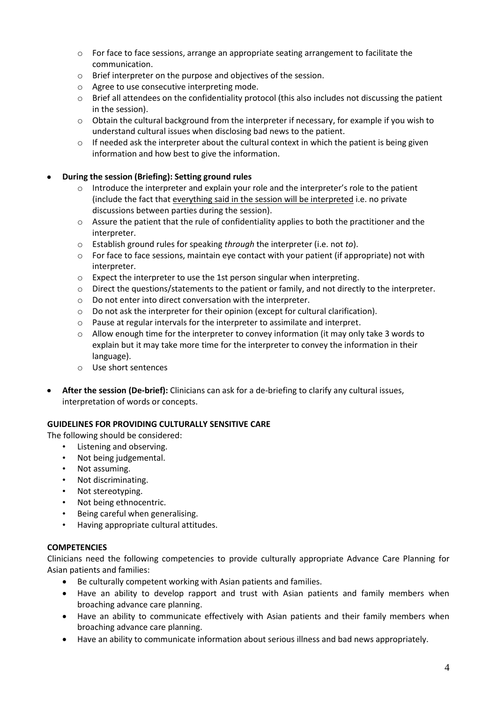- o For face to face sessions, arrange an appropriate seating arrangement to facilitate the communication.
- o Brief interpreter on the purpose and objectives of the session.
- o Agree to use consecutive interpreting mode.
- $\circ$  Brief all attendees on the confidentiality protocol (this also includes not discussing the patient in the session).
- o Obtain the cultural background from the interpreter if necessary, for example if you wish to understand cultural issues when disclosing bad news to the patient.
- $\circ$  If needed ask the interpreter about the cultural context in which the patient is being given information and how best to give the information.

## **During the session (Briefing): Setting ground rules**

- $\circ$  Introduce the interpreter and explain your role and the interpreter's role to the patient (include the fact that everything said in the session will be interpreted i.e. no private discussions between parties during the session).
- o Assure the patient that the rule of confidentiality applies to both the practitioner and the interpreter.
- o Establish ground rules for speaking *through* the interpreter (i.e. not *to*).
- o For face to face sessions, maintain eye contact with your patient (if appropriate) not with interpreter.
- o Expect the interpreter to use the 1st person singular when interpreting.
- $\circ$  Direct the questions/statements to the patient or family, and not directly to the interpreter.
- o Do not enter into direct conversation with the interpreter.
- $\circ$  Do not ask the interpreter for their opinion (except for cultural clarification).
- o Pause at regular intervals for the interpreter to assimilate and interpret.
- $\circ$  Allow enough time for the interpreter to convey information (it may only take 3 words to explain but it may take more time for the interpreter to convey the information in their language).
- o Use short sentences
- **After the session (De-brief):** Clinicians can ask for a de-briefing to clarify any cultural issues, interpretation of words or concepts.

#### **GUIDELINES FOR PROVIDING CULTURALLY SENSITIVE CARE**

The following should be considered:

- Listening and observing.
- Not being judgemental.
- Not assuming.
- Not discriminating.
- Not stereotyping.
- Not being ethnocentric.
- Being careful when generalising.
- Having appropriate cultural attitudes.

#### **COMPETENCIES**

Clinicians need the following competencies to provide culturally appropriate Advance Care Planning for Asian patients and families:

- Be culturally competent working with Asian patients and families.
- $\bullet$ Have an ability to develop rapport and trust with Asian patients and family members when broaching advance care planning.
- Have an ability to communicate effectively with Asian patients and their family members when broaching advance care planning.
- Have an ability to communicate information about serious illness and bad news appropriately.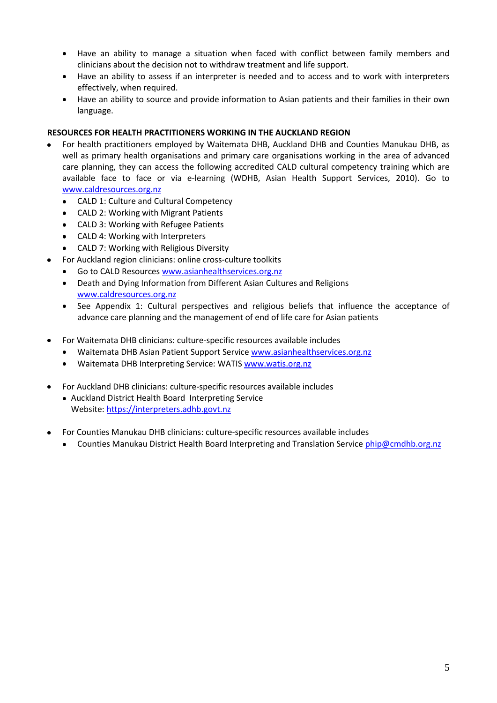- Have an ability to manage a situation when faced with conflict between family members and  $\bullet$ clinicians about the decision not to withdraw treatment and life support.
- Have an ability to assess if an interpreter is needed and to access and to work with interpreters effectively, when required.
- $\bullet$ Have an ability to source and provide information to Asian patients and their families in their own language.

#### **RESOURCES FOR HEALTH PRACTITIONERS WORKING IN THE AUCKLAND REGION**

- For health practitioners employed by Waitemata DHB, Auckland DHB and Counties Manukau DHB, as well as primary health organisations and primary care organisations working in the area of advanced care planning, they can access the following accredited CALD cultural competency training which are available face to face or via e-learning (WDHB, Asian Health Support Services, 2010). Go to [www.caldresources.org.nz](http://www.caldresources.org.nz/)
	- CALD 1: Culture and Cultural Competency  $\bullet$
	- CALD 2: Working with Migrant Patients
	- CALD 3: Working with Refugee Patients
	- CALD 4: Working with Interpreters
	- CALD 7: Working with Religious Diversity
	- For Auckland region clinicians: online cross-culture toolkits
	- Go to CALD Resources [www.asianhealthservices.org.nz](http://www.asianhealthservices.org.nz/)
	- Death and Dying Information from Different Asian Cultures and Religions  $\bullet$ [www.caldresources.org.nz](http://www.caldresources.org.nz/)
	- See Appendix 1: Cultural perspectives and religious beliefs that influence the acceptance of advance care planning and the management of end of life care for Asian patients
- For Waitemata DHB clinicians: culture-specific resources available includes
	- Waitemata DHB Asian Patient Support Service [www.asianhealthservices.org.nz](http://www.asianhealthservices.org.nz/)
	- Waitemata DHB Interpreting Service: WATI[S www.watis.org.nz](http://www.watis.org.nz/)
- For Auckland DHB clinicians: culture-specific resources available includes
	- Auckland District Health Board Interpreting Service Website[: https://interpreters.adhb.govt.nz](https://interpreters.adhb.govt.nz/)
- For Counties Manukau DHB clinicians: culture-specific resources available includes
	- Counties Manukau District Health Board Interpreting and Translation Service [phip@cmdhb.org.nz](mailto:phip@cmdhb.org.nz)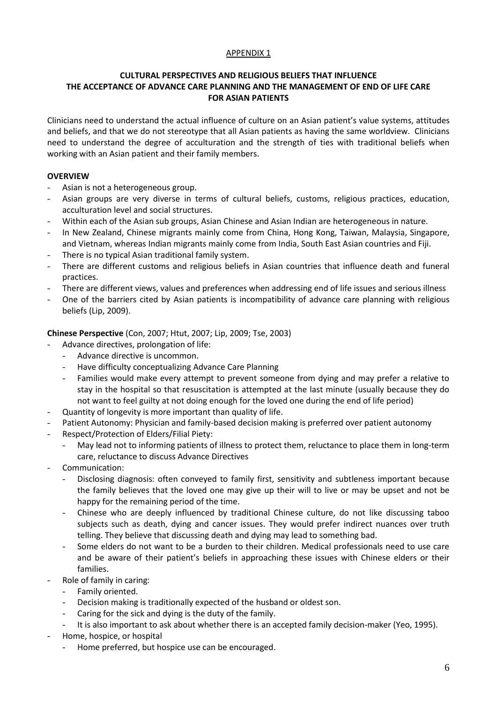#### APPENDIX 1

#### **CULTURAL PERSPECTIVES AND RELIGIOUS BELIEFS THAT INFLUENCE THE ACCEPTANCE OF ADVANCE CARE PLANNING AND THE MANAGEMENT OF END OF LIFE CARE FOR ASIAN PATIENTS**

Clinicians need to understand the actual influence of culture on an Asian patient's value systems, attitudes and beliefs, and that we do not stereotype that all Asian patients as having the same worldview. Clinicians need to understand the degree of acculturation and the strength of ties with traditional beliefs when working with an Asian patient and their family members.

#### **OVERVIEW**

- Asian is not a heterogeneous group.
- Asian groups are very diverse in terms of cultural beliefs, customs, religious practices, education, acculturation level and social structures.
- Within each of the Asian sub groups, Asian Chinese and Asian Indian are heterogeneous in nature.
- In New Zealand, Chinese migrants mainly come from China, Hong Kong, Taiwan, Malaysia, Singapore, and Vietnam, whereas Indian migrants mainly come from India, South East Asian countries and Fiji.
- There is no typical Asian traditional family system.
- There are different customs and religious beliefs in Asian countries that influence death and funeral practices.
- There are different views, values and preferences when addressing end of life issues and serious illness
- One of the barriers cited by Asian patients is incompatibility of advance care planning with religious beliefs (Lip, 2009).

#### **Chinese Perspective** (Con, 2007; Htut, 2007; Lip, 2009; Tse, 2003)

- Advance directives, prolongation of life:
	- Advance directive is uncommon.
	- Have difficulty conceptualizing Advance Care Planning
	- Families would make every attempt to prevent someone from dying and may prefer a relative to stay in the hospital so that resuscitation is attempted at the last minute (usually because they do not want to feel guilty at not doing enough for the loved one during the end of life period)
- Quantity of longevity is more important than quality of life.
- Patient Autonomy: Physician and family-based decision making is preferred over patient autonomy
- Respect/Protection of Elders/Filial Piety:
	- May lead not to informing patients of illness to protect them, reluctance to place them in long-term care, reluctance to discuss Advance Directives
- Communication:
	- Disclosing diagnosis: often conveyed to family first, sensitivity and subtleness important because the family believes that the loved one may give up their will to live or may be upset and not be happy for the remaining period of the time.
	- Chinese who are deeply influenced by traditional Chinese culture, do not like discussing taboo subjects such as death, dying and cancer issues. They would prefer indirect nuances over truth telling. They believe that discussing death and dying may lead to something bad.
	- Some elders do not want to be a burden to their children. Medical professionals need to use care and be aware of their patient's beliefs in approaching these issues with Chinese elders or their families.
- Role of family in caring:
	- Family oriented.
	- Decision making is traditionally expected of the husband or oldest son.
	- Caring for the sick and dying is the duty of the family.
	- It is also important to ask about whether there is an accepted family decision-maker (Yeo, 1995).
- Home, hospice, or hospital
	- Home preferred, but hospice use can be encouraged.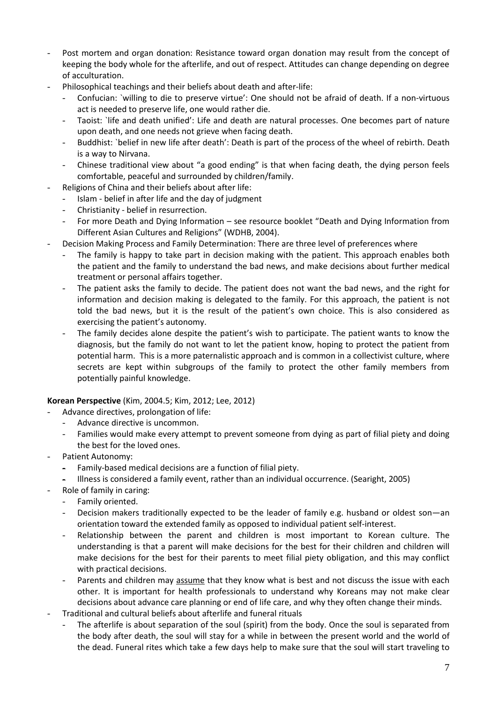- Post mortem and organ donation: Resistance toward organ donation may result from the concept of keeping the body whole for the afterlife, and out of respect. Attitudes can change depending on degree of acculturation.
- Philosophical teachings and their beliefs about death and after-life:
	- Confucian: `willing to die to preserve virtue': One should not be afraid of death. If a non-virtuous act is needed to preserve life, one would rather die.
	- Taoist: `life and death unified': Life and death are natural processes. One becomes part of nature upon death, and one needs not grieve when facing death.
	- Buddhist: `belief in new life after death': Death is part of the process of the wheel of rebirth. Death is a way to Nirvana.
	- Chinese traditional view about "a good ending" is that when facing death, the dying person feels comfortable, peaceful and surrounded by children/family.
- Religions of China and their beliefs about after life:
	- Islam belief in after life and the day of judgment
	- Christianity belief in resurrection.
	- For more Death and Dying Information see resource booklet "Death and Dying Information from Different Asian Cultures and Religions" (WDHB, 2004).
- Decision Making Process and Family Determination: There are three level of preferences where
	- The family is happy to take part in decision making with the patient. This approach enables both the patient and the family to understand the bad news, and make decisions about further medical treatment or personal affairs together.
	- The patient asks the family to decide. The patient does not want the bad news, and the right for information and decision making is delegated to the family. For this approach, the patient is not told the bad news, but it is the result of the patient's own choice. This is also considered as exercising the patient's autonomy.
	- The family decides alone despite the patient's wish to participate. The patient wants to know the diagnosis, but the family do not want to let the patient know, hoping to protect the patient from potential harm. This is a more paternalistic approach and is common in a collectivist culture, where secrets are kept within subgroups of the family to protect the other family members from potentially painful knowledge.

#### **Korean Perspective** (Kim, 2004.5; Kim, 2012; Lee, 2012)

- Advance directives, prolongation of life:
	- Advance directive is uncommon.
	- Families would make every attempt to prevent someone from dying as part of filial piety and doing the best for the loved ones.
- Patient Autonomy:
	- Family-based medical decisions are a function of filial piety.
	- Illness is considered a family event, rather than an individual occurrence. (Searight, 2005)
- Role of family in caring:
	- Family oriented.
	- Decision makers traditionally expected to be the leader of family e.g. husband or oldest son—an orientation toward the extended family as opposed to individual patient self-interest.
	- Relationship between the parent and children is most important to Korean culture. The understanding is that a parent will make decisions for the best for their children and children will make decisions for the best for their parents to meet filial piety obligation, and this may conflict with practical decisions.
	- Parents and children may assume that they know what is best and not discuss the issue with each other. It is important for health professionals to understand why Koreans may not make clear decisions about advance care planning or end of life care, and why they often change their minds.
- Traditional and cultural beliefs about afterlife and funeral rituals
	- The afterlife is about separation of the soul (spirit) from the body. Once the soul is separated from the body after death, the soul will stay for a while in between the present world and the world of the dead. Funeral rites which take a few days help to make sure that the soul will start traveling to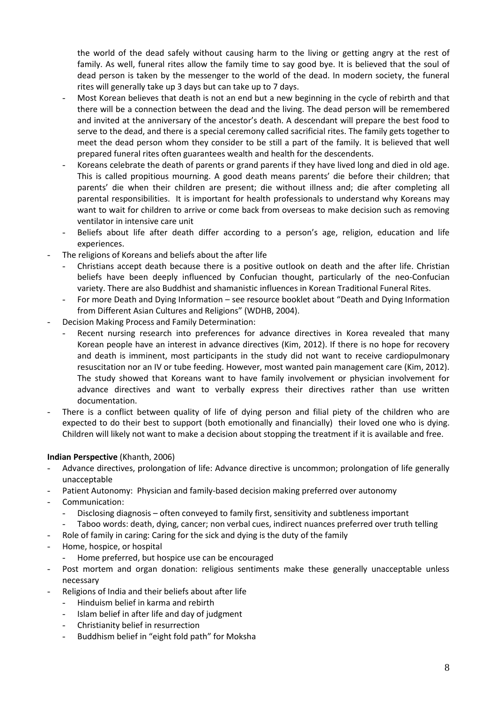the world of the dead safely without causing harm to the living or getting angry at the rest of family. As well, funeral rites allow the family time to say good bye. It is believed that the soul of dead person is taken by the messenger to the world of the dead. In modern society, the funeral rites will generally take up 3 days but can take up to 7 days.

- Most Korean believes that death is not an end but a new beginning in the cycle of rebirth and that there will be a connection between the dead and the living. The dead person will be remembered and invited at the anniversary of the ancestor's death. A descendant will prepare the best food to serve to the dead, and there is a special ceremony called sacrificial rites. The family gets together to meet the dead person whom they consider to be still a part of the family. It is believed that well prepared funeral rites often guarantees wealth and health for the descendents.
- Koreans celebrate the death of parents or grand parents if they have lived long and died in old age. This is called propitious mourning. A good death means parents' die before their children; that parents' die when their children are present; die without illness and; die after completing all parental responsibilities. It is important for health professionals to understand why Koreans may want to wait for children to arrive or come back from overseas to make decision such as removing ventilator in intensive care unit
- Beliefs about life after death differ according to a person's age, religion, education and life experiences.
- The religions of Koreans and beliefs about the after life
	- Christians accept death because there is a positive outlook on death and the after life. Christian beliefs have been deeply influenced by Confucian thought, particularly of the neo-Confucian variety. There are also Buddhist and shamanistic influences in Korean Traditional Funeral Rites.
	- For more Death and Dying Information see resource booklet about "Death and Dying Information from Different Asian Cultures and Religions" (WDHB, 2004).
- Decision Making Process and Family Determination:
	- Recent nursing research into preferences for advance directives in Korea revealed that many Korean people have an interest in advance directives (Kim, 2012). If there is no hope for recovery and death is imminent, most participants in the study did not want to receive cardiopulmonary resuscitation nor an IV or tube feeding. However, most wanted pain management care (Kim, 2012). The study showed that Koreans want to have family involvement or physician involvement for advance directives and want to verbally express their directives rather than use written documentation.
- There is a conflict between quality of life of dying person and filial piety of the children who are expected to do their best to support (both emotionally and financially) their loved one who is dying. Children will likely not want to make a decision about stopping the treatment if it is available and free.

#### **Indian Perspective** (Khanth, 2006)

- Advance directives, prolongation of life: Advance directive is uncommon; prolongation of life generally unacceptable
- Patient Autonomy: Physician and family-based decision making preferred over autonomy
- Communication:
	- Disclosing diagnosis often conveyed to family first, sensitivity and subtleness important
	- Taboo words: death, dying, cancer; non verbal cues, indirect nuances preferred over truth telling
- Role of family in caring: Caring for the sick and dying is the duty of the family
- Home, hospice, or hospital
	- Home preferred, but hospice use can be encouraged
- Post mortem and organ donation: religious sentiments make these generally unacceptable unless necessary
- Religions of India and their beliefs about after life
	- Hinduism belief in karma and rebirth
	- Islam belief in after life and day of judgment
	- Christianity belief in resurrection
	- Buddhism belief in "eight fold path" for Moksha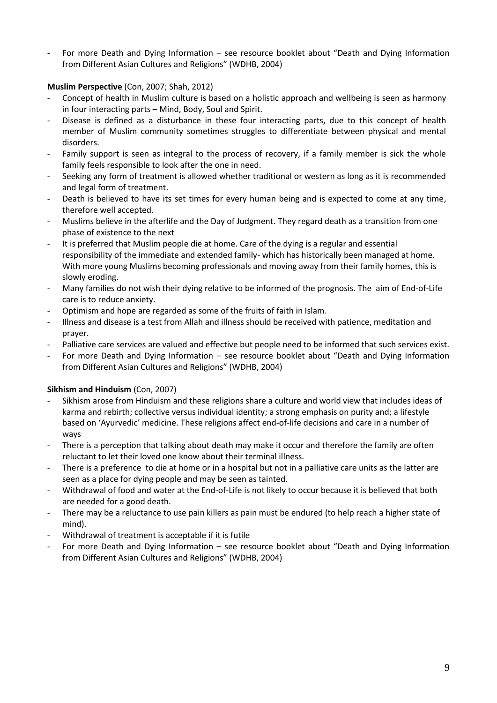- For more Death and Dying Information – see resource booklet about "Death and Dying Information from Different Asian Cultures and Religions" (WDHB, 2004)

### **Muslim Perspective** (Con, 2007; Shah, 2012)

- Concept of health in Muslim culture is based on a holistic approach and wellbeing is seen as harmony in four interacting parts – Mind, Body, Soul and Spirit.
- Disease is defined as a disturbance in these four interacting parts, due to this concept of health member of Muslim community sometimes struggles to differentiate between physical and mental disorders.
- Family support is seen as integral to the process of recovery, if a family member is sick the whole family feels responsible to look after the one in need.
- Seeking any form of treatment is allowed whether traditional or western as long as it is recommended and legal form of treatment.
- Death is believed to have its set times for every human being and is expected to come at any time, therefore well accepted.
- Muslims believe in the afterlife and the Day of Judgment. They regard death as a transition from one phase of existence to the next
- It is preferred that Muslim people die at home. Care of the dying is a regular and essential responsibility of the immediate and extended family- which has historically been managed at home. With more young Muslims becoming professionals and moving away from their family homes, this is slowly eroding.
- Many families do not wish their dying relative to be informed of the prognosis. The aim of End-of-Life care is to reduce anxiety.
- Optimism and hope are regarded as some of the fruits of faith in Islam.
- Illness and disease is a test from Allah and illness should be received with patience, meditation and prayer.
- Palliative care services are valued and effective but people need to be informed that such services exist.
- For more Death and Dying Information see resource booklet about "Death and Dying Information from Different Asian Cultures and Religions" (WDHB, 2004)

## **Sikhism and Hinduism** (Con, 2007)

- Sikhism arose from Hinduism and these religions share a culture and world view that includes ideas of karma and rebirth; collective versus individual identity; a strong emphasis on purity and; a lifestyle based on 'Ayurvedic' medicine. These religions affect end-of-life decisions and care in a number of ways
- There is a perception that talking about death may make it occur and therefore the family are often reluctant to let their loved one know about their terminal illness.
- There is a preference to die at home or in a hospital but not in a palliative care units as the latter are seen as a place for dying people and may be seen as tainted.
- Withdrawal of food and water at the End-of-Life is not likely to occur because it is believed that both are needed for a good death.
- There may be a reluctance to use pain killers as pain must be endured (to help reach a higher state of mind).
- Withdrawal of treatment is acceptable if it is futile
- For more Death and Dying Information see resource booklet about "Death and Dying Information from Different Asian Cultures and Religions" (WDHB, 2004)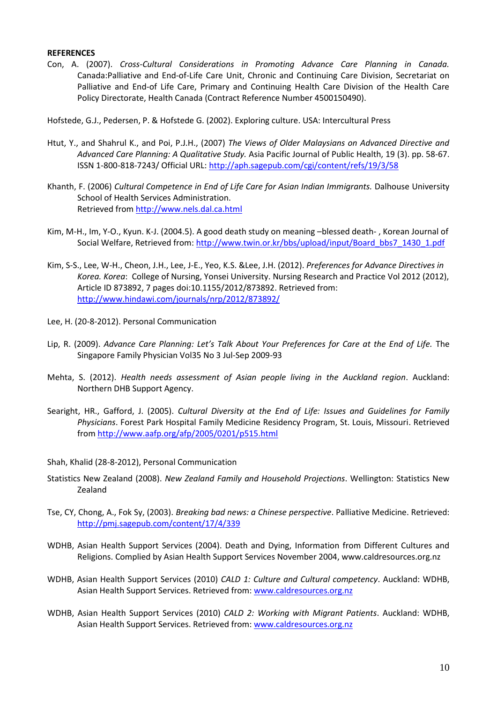#### **REFERENCES**

Con, A. (2007). *Cross-Cultural Considerations in Promoting Advance Care Planning in Canada.*  Canada:Palliative and End-of-Life Care Unit, Chronic and Continuing Care Division, Secretariat on Palliative and End-of Life Care, Primary and Continuing Health Care Division of the Health Care Policy Directorate, Health Canada (Contract Reference Number 4500150490).

Hofstede, G.J., Pedersen, P. & Hofstede G. (2002). Exploring culture. USA: Intercultural Press

- Htut, Y., and Shahrul K., and Poi, P.J.H., (2007) *The Views of Older Malaysians on Advanced Directive and Advanced Care Planning: A Qualitative Study.* Asia Pacific Journal of Public Health, 19 (3). pp. 58-67. ISSN 1-800-818-7243/ Official URL:<http://aph.sagepub.com/cgi/content/refs/19/3/58>
- Khanth, F. (2006) *Cultural Competence in End of Life Care for Asian Indian Immigrants.* Dalhouse University School of Health Services Administration. Retrieved fro[m http://www.nels.dal.ca.html](http://www.nels.dal.ca.html/)
- Kim, M-H., Im, Y-O., Kyun. K-J. (2004.5). A good death study on meaning –blessed death- , Korean Journal of Social Welfare, Retrieved from: [http://www.twin.or.kr/bbs/upload/input/Board\\_bbs7\\_1430\\_1.pdf](http://www.twin.or.kr/bbs/upload/input/Board_bbs7_1430_1.pdf)
- Kim, S-S., Lee, W-H., Cheon, J.H., Lee, J-E., Yeo, K.S. &Lee, J.H. (2012). *Preferences for Advance Directives in Korea. Korea*: College of Nursing, Yonsei University. Nursing Research and Practice Vol 2012 (2012), Article ID 873892, 7 pages doi:10.1155/2012/873892. Retrieved from: <http://www.hindawi.com/journals/nrp/2012/873892/>
- Lee, H. (20-8-2012). Personal Communication
- Lip, R. (2009). *Advance Care Planning: Let's Talk About Your Preferences for Care at the End of Life.* The Singapore Family Physician Vol35 No 3 Jul-Sep 2009-93
- Mehta, S. (2012). *Health needs assessment of Asian people living in the Auckland region*. Auckland: Northern DHB Support Agency.
- Searight, HR., Gafford, J. (2005). *Cultural Diversity at the End of Life: Issues and Guidelines for Family Physicians*. Forest Park Hospital Family Medicine Residency Program, St. Louis, Missouri. Retrieved from<http://www.aafp.org/afp/2005/0201/p515.html>
- Shah, Khalid (28-8-2012), Personal Communication
- Statistics New Zealand (2008). *New Zealand Family and Household Projections*. Wellington: Statistics New Zealand
- Tse, CY, Chong, A., Fok Sy, (2003). *Breaking bad news: a Chinese perspective*. Palliative Medicine. Retrieved: <http://pmj.sagepub.com/content/17/4/339>
- WDHB, Asian Health Support Services (2004). Death and Dying, Information from Different Cultures and Religions. Complied by Asian Health Support Services November 2004, www.caldresources.org.nz
- WDHB, Asian Health Support Services (2010) *CALD 1: Culture and Cultural competency*. Auckland: WDHB, Asian Health Support Services. Retrieved from: [www.caldresources.org.nz](http://www.caldresources.org.nz/)
- WDHB, Asian Health Support Services (2010) *CALD 2: Working with Migrant Patients*. Auckland: WDHB, Asian Health Support Services. Retrieved from: [www.caldresources.org.nz](http://www.caldresources.org.nz/)